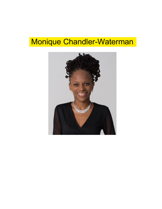# Monique Chandler-Waterman

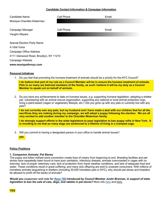# **Candidate Contact Information & Campaign Information**

| Candidate Name                         | Cell Phone | Email |
|----------------------------------------|------------|-------|
| Monique Chandler-Waterman              |            |       |
|                                        |            |       |
| Campaign Manager                       | Cell Phone | Email |
| Vaughn Mayers                          |            |       |
|                                        |            |       |
| <b>Special Election Party Name</b>     |            |       |
| A Vital Voice                          |            |       |
| <b>Campaign Office Address</b>         |            |       |
| 4111 Glenwood Road, Brooklyn, NY 11210 |            |       |
| Campaign Website                       |            |       |
| www.moniquefornyc.com                  |            |       |

# **Personal Initiatives**

1. Do you feel that promoting the humane treatment of animals should be a priority for the NYC Council?

**I do believe that part of my role as a Council Member will be in ensure the humane treatment of animals. Pets to so many are beloved members of the family, as such I believe it will be my duty as a Council Member to speak out on behalf of animals.** 

2. Do you have any achievements to date on humane issues, *e.g*. supporting humane legislation, adopting a shelter pet, volunteering with an animal rescue organization, supporting any national or local animal protection orgs, living a plant-based (vegan or vegetarian) lifestyle, etc.? Did you grow up with any pets or currently live with any pets?

**I do not currently own any pets, but my husband and I have made a deal with our children that for all the sacrifices they are making during my campaign, we will adopt a puppy following the election. We are all very excited to add another member to the Chandler-Waterman family.** 

**I do strongly support efforts in the state legislature to pass legislation to ban puppy mills in New York. It is revolting to me that so many dogs are sentenced to a lifetime of living in a cramped cage.** 

3. Will you commit to having a designated person in your office to handle animal issues?

**yes**

# **Policy Positions**

# **1. Companion Animals: Pet Stores**

The puppy and kitten mill/pet store connection create lives of misery from beginning to end. Breeding facilities and pet stores have repeatedly been found to have poor sanitation, infectious disease, animals overcrowded in cages with no exercise, lack of proper veterinary care, lack of protection from harsh weather conditions, and lack of adequate food and water. These conditions result in great suffering, and many sick offspring are sold to unaware consumers. With millions of homeless animals languishing in shelters (including 30,000 homeless pets in NYC), why should pet stores and breeders be allowed to profit off the backs of animals?

*Would you cosponsor and vote for Reso 798 introduced by Council Member Justin Brannan, in support of state legislation to ban the sale of cats, dogs, and rabbits in pet stores?* More info here and here.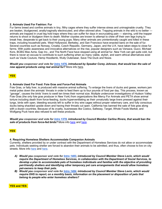# **2. Animals Used For Fashion: Fur**

Fur farms breed and confine animals in tiny, filthy cages where they suffer intense stress and unimaginable cruelty. They are beaten, bludgeoned, anally/vaginally electrocuted, and often skinned alive. Trapping animals in the wild is no better animals are trapped in cruel leg hold traps where they can suffer for days in excruciating pain — starving, until the trapper returns to shoot or bludgeon them to death. Mother coyotes are known to attempt to chew off their own legs trying to break free, desperate to get back to their young pups. Many other animals are unintentionally caught and killed in these traps, including household pets. West Hollywood, Berkeley, and San Francisco have enacted bans on the sale of fur. Several countries such as Norway, Croatia, Czech Republic, Germany, Japan, and the U.K. have taken steps to close fur farms. With public awareness and innovative alternatives on the rise, popular designers such as Versace, Gucci, Michael Kors, BCBG Max Azria, Gap Inc., and The North Face have stopped using all animal fur. New York can get quite cold, but there is never an excuse to contribute to such suffering when so many viable, stylish, and warm ethical alternatives exist such as Vaute Couture, Hemp Hoodlamb, Wully Outerwear, Save The Duck and Noize.

*Would you cosponsor and vote for Intro 1476, introduced by Speaker Corey Johnson, that would ban the sale of new apparel products using real animal fur?* More info here.

**YES** 

# **3. Animals Used For Food: Foie Gras and Force-Fed Animals**

Foie Gras, or fatty liver, is produced with massive animal suffering. To enlarge the livers of ducks and geese, workers jam metal poles down the animals' throats in order to feed them up to four pounds of food per day. This process, known as "gavage", causes the birds' livers to swell ten times their normal size. Multiple undercover investigations of Hudson Valley Foie Gras (the only foie gras producer in New York) from organizations like Mercy For Animals and PETA show animal torture including death from force-feeding, ducks hyperventilating as their unnaturally large livers pressed against their lungs, birds with open, bleeding wounds left to suffer in tiny wire cages without proper veterinary care, and fully conscious ducks being shackled upside down and having their throats cut open. California has banned the sale of foie gras along with a dozen countries. Because of its cruelty, businesses like Costco, Safeway, Target, Whole Foods Market, and Wolfgang Puck have also refused to sell these products.

*Would you cosponsor and vote for Intro 1378, introduced by Council Member Carlina Rivera, that would ban the sale of products from force-fed birds?* More info here and here.

# **YES**

# **4. Requiring Homeless Shelters Accommodate Companion Animals**

Currently, shelters provided by or under contract with the Department of Homeless Services do not allow or accommodate pets. Individuals seeking shelter are forced to abandon their animals to be admitted, and thus, often choose to live on city streets. More info here and here.

- *A) Would you cosponsor and vote for Intro 1483, introduced by Council Member Steve Levin, which would require the Department of Homeless Services, in collaboration with the Department of Social Services, to develop a plan to accommodate pets of homeless individuals and families with the objective of providing pet-friendly shelters and identifying other temporary pet care arrangements that would allow homeless pet-owners to keep their pets.*
- *B) Would you cosponsor and vote for Intro 1484, introduced by Council Member Steve Levin, which would require DHS to report, on a monthly basis, information on the placement or disposition of pets that belong to people who enter homeless shelters?*

**YES and YES**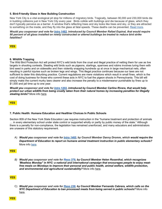# **5. Bird-Friendly Glass in New Building Construction**

New York City is a vital ecological pit stop for millions of migratory birds. Tragically, between 90,000 and 230,000 birds die in building collisions just in New York City every year. Birds collide with buildings and die because of glass, which they don't typically perceive as a barrier. A window that's reflecting trees and sky looks like trees and sky, or they are attracted to something on the inside, and they fly into the glass at fatal speeds. These deaths can be prevented. Read more.

*Would you cosponsor and vote for Intro 1482, introduced by Council Member Rafael Espinal, that would require 90 percent of all glass installed on newly constructed or altered buildings be treated to reduce bird strike fatalities?* 

**YES** 

# **6. Wildlife Trapping**

The Wild Bird Protection Act will protect NYC's wild birds from the cruel and illegal practice of netting them for use as live targets in shooting contests. Stealing wild birds such as pigeons, starlings, sparrows and robins involves luring them with bird seed in parks and on sidewalks and then violently snapping hundreds up at once in large mechanical nets, often resulting in painful injuries such as broken legs and wings. This illegal practice continues because our laws are not sufficient to deter this disturbing practice. Current regulations are mere violations which result in small fines, which is the cost of doing business for those who commit these acts in NYC to fuel the pigeon shoots in Pennsylvania. This bill will simply make the current murky laws clearer and also increase the penalty to a misdemeanor punishable by fines up to \$1,000 and jail time up to one year.

*Would you cosponsor and vote for Intro 1202, introduced by Council Member Carlina Rivera, that would help protect our urban wildlife from being cruelly taken from their natural homes by increasing penalties for illegally stealing birds?* More info here.

**YES** 

# **7. Public Health: Humane Education and Healthier Choices In Public Schools**

Section 809 of the New York State Education Law requires instruction in the "humane treatment and protection of animals … in every elementary school under state control or supported wholly or partly by public money of the state." Although there is a penalty for non-compliance, the legislation has remained unenforced, and many educators and administrators are unaware of this statutory requirement.

A) *Would you cosponsor and vote for Intro 1465, by Council Member Danny Dromm, which would require the Department of Education to report on humane animal treatment instruction in public elementary schools?*  More info here.

#### **YES**

*B) Would you cosponsor and vote for Reso 379, by Council Member Helen Rosenthal, which recognizes 'Meatless Monday" in NYC: a national and international campaign that encourages people to enjoy meatfree meals on Mondays to improve their personal and public health, animal welfare, wildlife protection, and environmental and agricultural sustainability?* More info here.

# **YES**

C) *Would you cosponsor and vote for Reso 238, by Council Member Fernando Cabrera, which calls on the NYC Department of Education to ban processed meats from being served in public schools?* More info here.

**YES**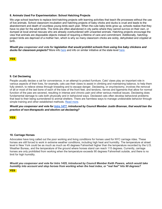# **8. Animals Used For Experimentation: School Hatching Projects**

We urge school teachers to replace bird-hatching projects with learning activities that teach life processes without the use of live animals. School classroom incubation and hatching projects of baby chicks and ducks is cruel and leads to the abandonment and death of countless young birds each year. When the cute baby birds grow up, schools realize that they have no plan for the adult birds. The birds are often abandoned in city parks where they cannot survive on their own, or dumped at local animal rescues who are already overburdened with unwanted animals. Hatching projects encourage the view that animals are disposable objects instead of requiring a lifetime of care and commitment. Additionally, hatchingproject birds are deprived of a mother hen, which is why so many classroom chicks are sickly, dehydrated and crippled at birth.

*Would you cosponsor and vote for legislation that would prohibit schools from using live baby chickens and ducks for classroom projects?* More info here and info on similar initiative at the state level here.

**YES** 

# **9. Cat Declawing**

People usually declaw a cat for convenience, in an attempt to protect furniture. Cats' claws play an important role in various aspects of their lives, for example, cats use their claws to assist in climbing and maintaining balance, to help them fully stretch, to relieve stress through kneading and to escape danger. Declawing, or onychectomy, involves the removal of all or most of the last bone of each of the toes of the front feet, and tendons, nerves and ligaments that allow for normal function of the paw are severed, resulting in intense and chronic pain and other serious medical issues. Declawing does fundamental damage to cats both physically and in behavioral ways. Declawed cats often develop behavioral problems that lead to their being surrendered to animal shelters. There are harmless ways to manage undesirable behavior through simple training and other established methods. Read more.

*Would you cosponsor and vote for Intro 1477, introduced by Council Member Justin Brannan, that would ban the practice of non-therapeutic and elective cat declawing?* 

**YES** 

# **10. Carriage Horses**

Advocates have long called out the poor working and living conditions for horses used for NYC carriage rides. These horses are still forced to work in extreme weather conditions, including high heat and humidity. The temperature at street level in New York could be as much as much as 45 degrees Fahrenheit higher than the temperature recorded by the U.S. Weather Bureau, and the temperature of the ground where horses stand can reach 115 degrees. Currently, carriage horses are only prohibited from working when the temperature exceeds 90 degrees Fahrenheit outside, and there is no limit for high humidity.

*Would you cosponsor and vote for Intro 1425, introduced by Council Member Keith Powers, which would take humidity into account and stop horses from working when the heat index, or "real feel" hits 90 degrees?*

**YES**